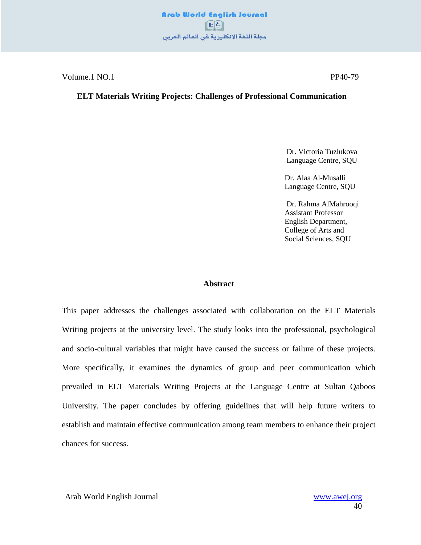Volume.1 NO.1 PP40-79

#### **ELT Materials Writing Projects: Challenges of Professional Communication**

 Dr. Victoria Tuzlukova Language Centre, SQU

Dr. Alaa Al-Musalli Language Centre, SQU

Dr. Rahma AlMahrooqi Assistant Professor English Department, College of Arts and Social Sciences, SQU

#### **Abstract**

This paper addresses the challenges associated with collaboration on the ELT Materials Writing projects at the university level. The study looks into the professional, psychological and socio-cultural variables that might have caused the success or failure of these projects. More specifically, it examines the dynamics of group and peer communication which prevailed in ELT Materials Writing Projects at the Language Centre at Sultan Qaboos University. The paper concludes by offering guidelines that will help future writers to establish and maintain effective communication among team members to enhance their project chances for success.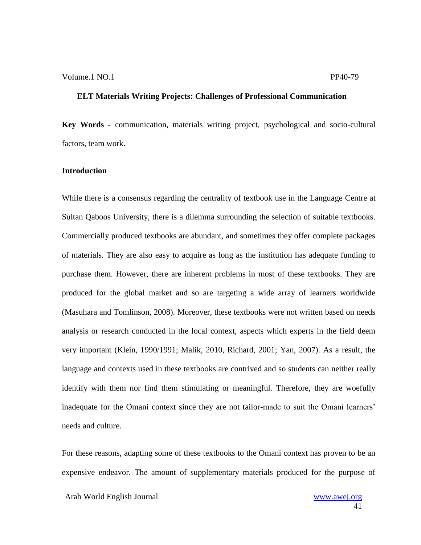**Key Words** *-* communication, materials writing project, psychological and socio-cultural factors, team work.

#### **Introduction**

While there is a consensus regarding the centrality of textbook use in the Language Centre at Sultan Qaboos University, there is a dilemma surrounding the selection of suitable textbooks. Commercially produced textbooks are abundant, and sometimes they offer complete packages of materials. They are also easy to acquire as long as the institution has adequate funding to purchase them. However, there are inherent problems in most of these textbooks. They are produced for the global market and so are targeting a wide array of learners worldwide (Masuhara and Tomlinson, 2008). Moreover, these textbooks were not written based on needs analysis or research conducted in the local context, aspects which experts in the field deem very important (Klein, 1990/1991; Malik, 2010, Richard, 2001; Yan, 2007). As a result, the language and contexts used in these textbooks are contrived and so students can neither really identify with them nor find them stimulating or meaningful. Therefore, they are woefully inadequate for the Omani context since they are not tailor-made to suit the Omani learners" needs and culture.

For these reasons, adapting some of these textbooks to the Omani context has proven to be an expensive endeavor. The amount of supplementary materials produced for the purpose of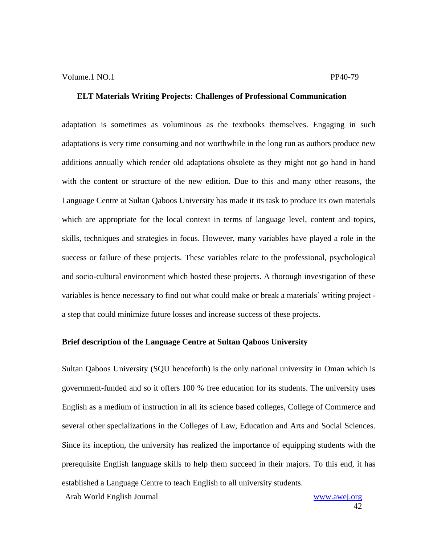adaptation is sometimes as voluminous as the textbooks themselves. Engaging in such adaptations is very time consuming and not worthwhile in the long run as authors produce new additions annually which render old adaptations obsolete as they might not go hand in hand with the content or structure of the new edition. Due to this and many other reasons, the Language Centre at Sultan Qaboos University has made it its task to produce its own materials which are appropriate for the local context in terms of language level, content and topics, skills, techniques and strategies in focus. However, many variables have played a role in the success or failure of these projects. These variables relate to the professional, psychological and socio-cultural environment which hosted these projects. A thorough investigation of these variables is hence necessary to find out what could make or break a materials" writing project a step that could minimize future losses and increase success of these projects.

#### **Brief description of the Language Centre at Sultan Qaboos University**

Sultan Qaboos University (SQU henceforth) is the only national university in Oman which is government-funded and so it offers 100 % free education for its students. The university uses English as a medium of instruction in all its science based colleges, College of Commerce and several other specializations in the Colleges of Law, Education and Arts and Social Sciences. Since its inception, the university has realized the importance of equipping students with the prerequisite English language skills to help them succeed in their majors. To this end, it has established a Language Centre to teach English to all university students.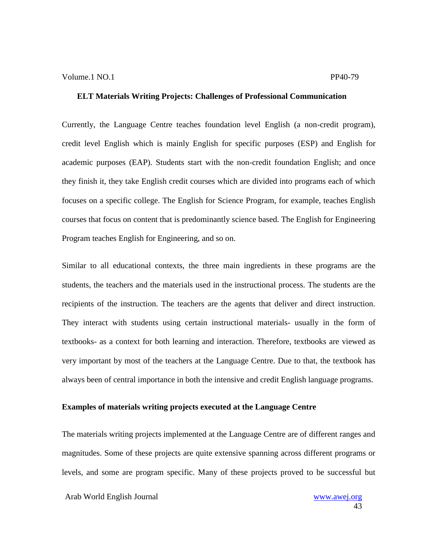Currently, the Language Centre teaches foundation level English (a non-credit program), credit level English which is mainly English for specific purposes (ESP) and English for academic purposes (EAP). Students start with the non-credit foundation English; and once they finish it, they take English credit courses which are divided into programs each of which focuses on a specific college. The English for Science Program, for example, teaches English courses that focus on content that is predominantly science based. The English for Engineering Program teaches English for Engineering, and so on.

Similar to all educational contexts, the three main ingredients in these programs are the students, the teachers and the materials used in the instructional process. The students are the recipients of the instruction. The teachers are the agents that deliver and direct instruction. They interact with students using certain instructional materials- usually in the form of textbooks- as a context for both learning and interaction. Therefore, textbooks are viewed as very important by most of the teachers at the Language Centre. Due to that, the textbook has always been of central importance in both the intensive and credit English language programs.

#### **Examples of materials writing projects executed at the Language Centre**

The materials writing projects implemented at the Language Centre are of different ranges and magnitudes. Some of these projects are quite extensive spanning across different programs or levels, and some are program specific. Many of these projects proved to be successful but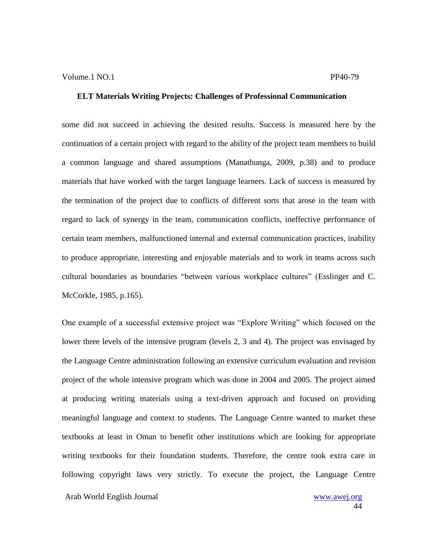some did not succeed in achieving the desired results. Success is measured here by the continuation of a certain project with regard to the ability of the project team members to build a common language and shared assumptions (Manathunga, 2009, p.38) and to produce materials that have worked with the target language learners. Lack of success is measured by the termination of the project due to conflicts of different sorts that arose in the team with regard to lack of synergy in the team, communication conflicts, ineffective performance of certain team members, malfunctioned internal and external communication practices, inability to produce appropriate, interesting and enjoyable materials and to work in teams across such cultural boundaries as boundaries "between various workplace cultures" (Esslinger and C. McCorkle, 1985, p.165).

One example of a successful extensive project was "Explore Writing" which focused on the lower three levels of the intensive program (levels 2, 3 and 4). The project was envisaged by the Language Centre administration following an extensive curriculum evaluation and revision project of the whole intensive program which was done in 2004 and 2005. The project aimed at producing writing materials using a text-driven approach and focused on providing meaningful language and context to students. The Language Centre wanted to market these textbooks at least in Oman to benefit other institutions which are looking for appropriate writing textbooks for their foundation students. Therefore, the centre took extra care in following copyright laws very strictly. To execute the project, the Language Centre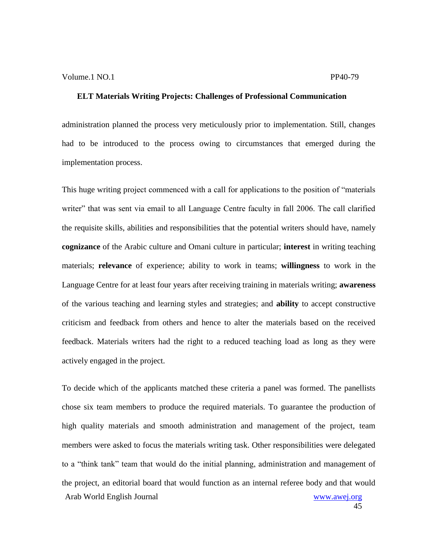administration planned the process very meticulously prior to implementation. Still, changes had to be introduced to the process owing to circumstances that emerged during the implementation process.

This huge writing project commenced with a call for applications to the position of "materials writer" that was sent via email to all Language Centre faculty in fall 2006. The call clarified the requisite skills, abilities and responsibilities that the potential writers should have, namely **cognizance** of the Arabic culture and Omani culture in particular; **interest** in writing teaching materials; **relevance** of experience; ability to work in teams; **willingness** to work in the Language Centre for at least four years after receiving training in materials writing; **awareness**  of the various teaching and learning styles and strategies; and **ability** to accept constructive criticism and feedback from others and hence to alter the materials based on the received feedback. Materials writers had the right to a reduced teaching load as long as they were actively engaged in the project.

Arab World English Journal www.awej.org To decide which of the applicants matched these criteria a panel was formed. The panellists chose six team members to produce the required materials. To guarantee the production of high quality materials and smooth administration and management of the project, team members were asked to focus the materials writing task. Other responsibilities were delegated to a "think tank" team that would do the initial planning, administration and management of the project, an editorial board that would function as an internal referee body and that would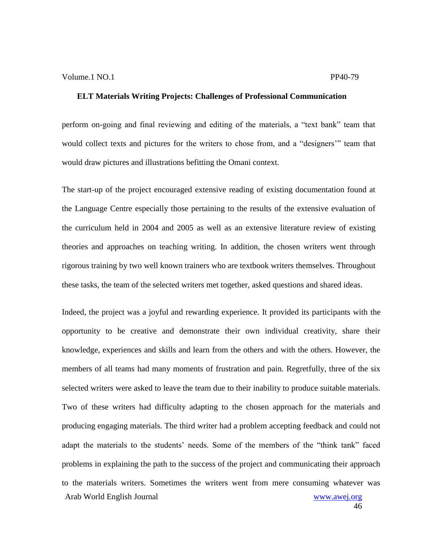perform on-going and final reviewing and editing of the materials, a "text bank" team that would collect texts and pictures for the writers to chose from, and a "designers"" team that would draw pictures and illustrations befitting the Omani context.

The start-up of the project encouraged extensive reading of existing documentation found at the Language Centre especially those pertaining to the results of the extensive evaluation of the curriculum held in 2004 and 2005 as well as an extensive literature review of existing theories and approaches on teaching writing. In addition, the chosen writers went through rigorous training by two well known trainers who are textbook writers themselves. Throughout these tasks, the team of the selected writers met together, asked questions and shared ideas.

Arab World English Journal www.awej.org Indeed, the project was a joyful and rewarding experience. It provided its participants with the opportunity to be creative and demonstrate their own individual creativity, share their knowledge, experiences and skills and learn from the others and with the others. However, the members of all teams had many moments of frustration and pain. Regretfully, three of the six selected writers were asked to leave the team due to their inability to produce suitable materials. Two of these writers had difficulty adapting to the chosen approach for the materials and producing engaging materials. The third writer had a problem accepting feedback and could not adapt the materials to the students' needs. Some of the members of the "think tank" faced problems in explaining the path to the success of the project and communicating their approach to the materials writers. Sometimes the writers went from mere consuming whatever was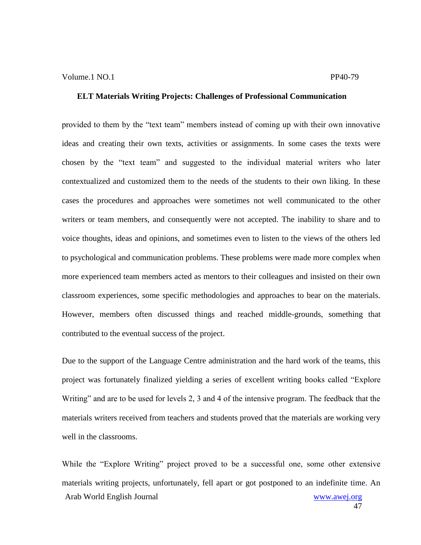provided to them by the "text team" members instead of coming up with their own innovative ideas and creating their own texts, activities or assignments. In some cases the texts were chosen by the "text team" and suggested to the individual material writers who later contextualized and customized them to the needs of the students to their own liking. In these cases the procedures and approaches were sometimes not well communicated to the other writers or team members, and consequently were not accepted. The inability to share and to voice thoughts, ideas and opinions, and sometimes even to listen to the views of the others led to psychological and communication problems. These problems were made more complex when more experienced team members acted as mentors to their colleagues and insisted on their own classroom experiences, some specific methodologies and approaches to bear on the materials. However, members often discussed things and reached middle-grounds, something that contributed to the eventual success of the project.

Due to the support of the Language Centre administration and the hard work of the teams, this project was fortunately finalized yielding a series of excellent writing books called "Explore Writing" and are to be used for levels 2, 3 and 4 of the intensive program. The feedback that the materials writers received from teachers and students proved that the materials are working very well in the classrooms.

Arab World English Journal www.awej.org While the "Explore Writing" project proved to be a successful one, some other extensive materials writing projects, unfortunately, fell apart or got postponed to an indefinite time. An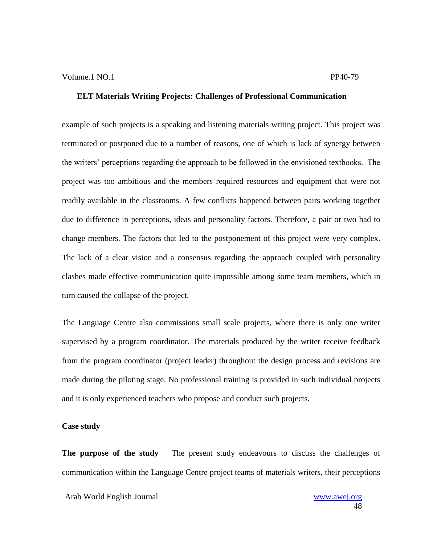example of such projects is a speaking and listening materials writing project. This project was terminated or postponed due to a number of reasons, one of which is lack of synergy between the writers" perceptions regarding the approach to be followed in the envisioned textbooks. The project was too ambitious and the members required resources and equipment that were not readily available in the classrooms. A few conflicts happened between pairs working together due to difference in perceptions, ideas and personality factors. Therefore, a pair or two had to change members. The factors that led to the postponement of this project were very complex. The lack of a clear vision and a consensus regarding the approach coupled with personality clashes made effective communication quite impossible among some team members, which in turn caused the collapse of the project.

The Language Centre also commissions small scale projects, where there is only one writer supervised by a program coordinator. The materials produced by the writer receive feedback from the program coordinator (project leader) throughout the design process and revisions are made during the piloting stage. No professional training is provided in such individual projects and it is only experienced teachers who propose and conduct such projects.

#### **Case study**

**The purpose of the study** The present study endeavours to discuss the challenges of communication within the Language Centre project teams of materials writers, their perceptions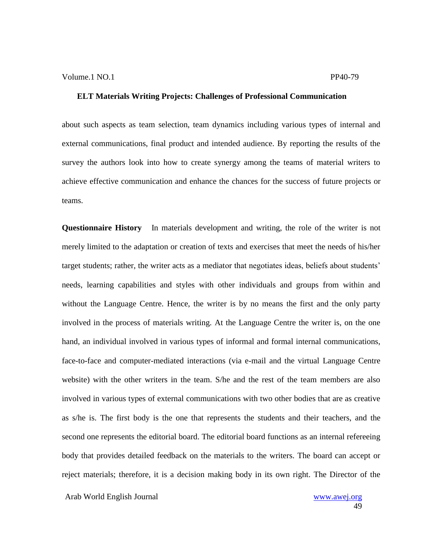about such aspects as team selection, team dynamics including various types of internal and external communications, final product and intended audience. By reporting the results of the survey the authors look into how to create synergy among the teams of material writers to achieve effective communication and enhance the chances for the success of future projects or teams.

**Questionnaire History** In materials development and writing, the role of the writer is not merely limited to the adaptation or creation of texts and exercises that meet the needs of his/her target students; rather, the writer acts as a mediator that negotiates ideas, beliefs about students" needs, learning capabilities and styles with other individuals and groups from within and without the Language Centre. Hence, the writer is by no means the first and the only party involved in the process of materials writing. At the Language Centre the writer is, on the one hand, an individual involved in various types of informal and formal internal communications, face-to-face and computer-mediated interactions (via e-mail and the virtual Language Centre website) with the other writers in the team. S/he and the rest of the team members are also involved in various types of external communications with two other bodies that are as creative as s/he is. The first body is the one that represents the students and their teachers, and the second one represents the editorial board. The editorial board functions as an internal refereeing body that provides detailed feedback on the materials to the writers. The board can accept or reject materials; therefore, it is a decision making body in its own right. The Director of the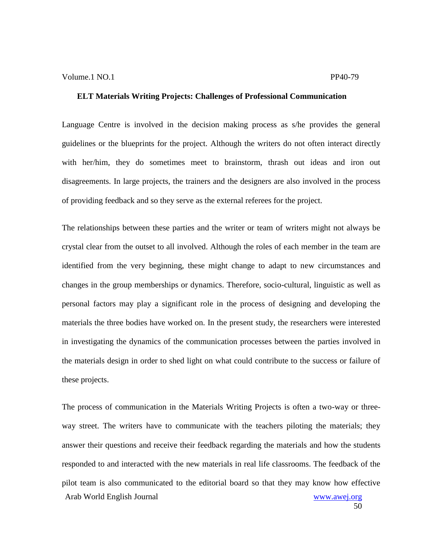Language Centre is involved in the decision making process as s/he provides the general guidelines or the blueprints for the project. Although the writers do not often interact directly with her/him, they do sometimes meet to brainstorm, thrash out ideas and iron out disagreements. In large projects, the trainers and the designers are also involved in the process of providing feedback and so they serve as the external referees for the project.

The relationships between these parties and the writer or team of writers might not always be crystal clear from the outset to all involved. Although the roles of each member in the team are identified from the very beginning, these might change to adapt to new circumstances and changes in the group memberships or dynamics. Therefore, socio-cultural, linguistic as well as personal factors may play a significant role in the process of designing and developing the materials the three bodies have worked on. In the present study, the researchers were interested in investigating the dynamics of the communication processes between the parties involved in the materials design in order to shed light on what could contribute to the success or failure of these projects.

Arab World English Journal www.awej.org The process of communication in the Materials Writing Projects is often a two-way or threeway street. The writers have to communicate with the teachers piloting the materials; they answer their questions and receive their feedback regarding the materials and how the students responded to and interacted with the new materials in real life classrooms. The feedback of the pilot team is also communicated to the editorial board so that they may know how effective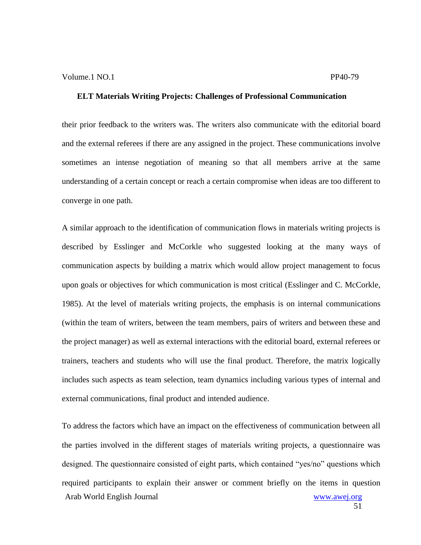their prior feedback to the writers was. The writers also communicate with the editorial board and the external referees if there are any assigned in the project. These communications involve sometimes an intense negotiation of meaning so that all members arrive at the same understanding of a certain concept or reach a certain compromise when ideas are too different to converge in one path.

A similar approach to the identification of communication flows in materials writing projects is described by Esslinger and McCorkle who suggested looking at the many ways of communication aspects by building a matrix which would allow project management to focus upon goals or objectives for which communication is most critical (Esslinger and C. McCorkle, 1985). At the level of materials writing projects, the emphasis is on internal communications (within the team of writers, between the team members, pairs of writers and between these and the project manager) as well as external interactions with the editorial board, external referees or trainers, teachers and students who will use the final product. Therefore, the matrix logically includes such aspects as team selection, team dynamics including various types of internal and external communications, final product and intended audience.

Arab World English Journal www.awej.org To address the factors which have an impact on the effectiveness of communication between all the parties involved in the different stages of materials writing projects, a questionnaire was designed. The questionnaire consisted of eight parts, which contained "yes/no" questions which required participants to explain their answer or comment briefly on the items in question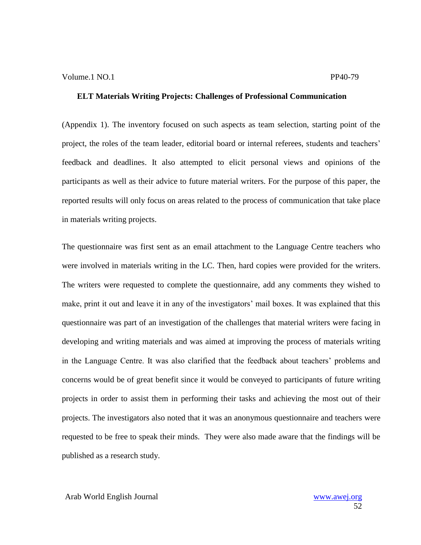(Appendix 1). The inventory focused on such aspects as team selection, starting point of the project, the roles of the team leader, editorial board or internal referees, students and teachers' feedback and deadlines. It also attempted to elicit personal views and opinions of the participants as well as their advice to future material writers. For the purpose of this paper, the reported results will only focus on areas related to the process of communication that take place in materials writing projects.

The questionnaire was first sent as an email attachment to the Language Centre teachers who were involved in materials writing in the LC. Then, hard copies were provided for the writers. The writers were requested to complete the questionnaire, add any comments they wished to make, print it out and leave it in any of the investigators' mail boxes. It was explained that this questionnaire was part of an investigation of the challenges that material writers were facing in developing and writing materials and was aimed at improving the process of materials writing in the Language Centre. It was also clarified that the feedback about teachers" problems and concerns would be of great benefit since it would be conveyed to participants of future writing projects in order to assist them in performing their tasks and achieving the most out of their projects. The investigators also noted that it was an anonymous questionnaire and teachers were requested to be free to speak their minds. They were also made aware that the findings will be published as a research study.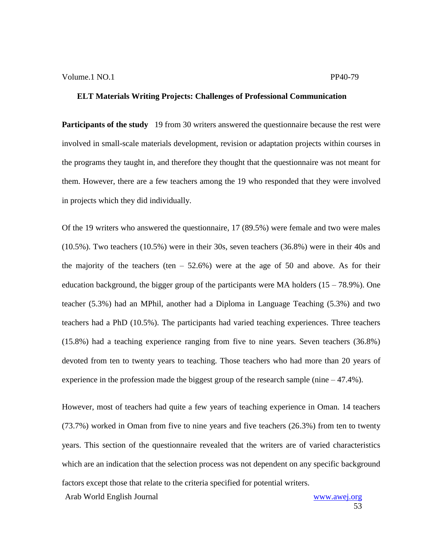**Participants of the study** 19 from 30 writers answered the questionnaire because the rest were involved in small-scale materials development, revision or adaptation projects within courses in the programs they taught in, and therefore they thought that the questionnaire was not meant for them. However, there are a few teachers among the 19 who responded that they were involved in projects which they did individually.

Of the 19 writers who answered the questionnaire, 17 (89.5%) were female and two were males (10.5%). Two teachers (10.5%) were in their 30s, seven teachers (36.8%) were in their 40s and the majority of the teachers (ten  $-52.6\%$ ) were at the age of 50 and above. As for their education background, the bigger group of the participants were MA holders  $(15 - 78.9\%)$ . One teacher (5.3%) had an MPhil, another had a Diploma in Language Teaching (5.3%) and two teachers had a PhD (10.5%). The participants had varied teaching experiences. Three teachers (15.8%) had a teaching experience ranging from five to nine years. Seven teachers (36.8%) devoted from ten to twenty years to teaching. Those teachers who had more than 20 years of experience in the profession made the biggest group of the research sample (nine  $-47.4\%$ ).

However, most of teachers had quite a few years of teaching experience in Oman. 14 teachers (73.7%) worked in Oman from five to nine years and five teachers (26.3%) from ten to twenty years. This section of the questionnaire revealed that the writers are of varied characteristics which are an indication that the selection process was not dependent on any specific background factors except those that relate to the criteria specified for potential writers.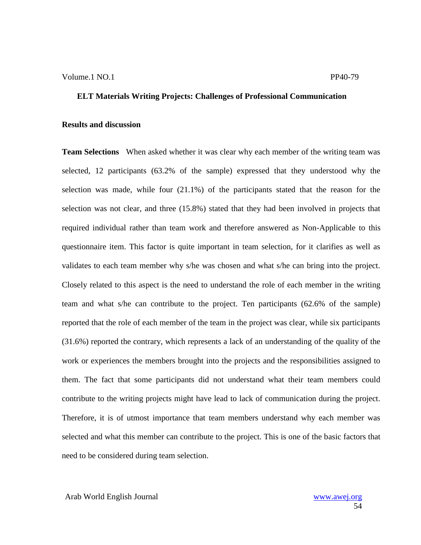#### **Results and discussion**

**Team Selections** When asked whether it was clear why each member of the writing team was selected, 12 participants (63.2% of the sample) expressed that they understood why the selection was made, while four (21.1%) of the participants stated that the reason for the selection was not clear, and three (15.8%) stated that they had been involved in projects that required individual rather than team work and therefore answered as Non-Applicable to this questionnaire item. This factor is quite important in team selection, for it clarifies as well as validates to each team member why s/he was chosen and what s/he can bring into the project. Closely related to this aspect is the need to understand the role of each member in the writing team and what s/he can contribute to the project. Ten participants (62.6% of the sample) reported that the role of each member of the team in the project was clear, while six participants (31.6%) reported the contrary, which represents a lack of an understanding of the quality of the work or experiences the members brought into the projects and the responsibilities assigned to them. The fact that some participants did not understand what their team members could contribute to the writing projects might have lead to lack of communication during the project. Therefore, it is of utmost importance that team members understand why each member was selected and what this member can contribute to the project. This is one of the basic factors that need to be considered during team selection.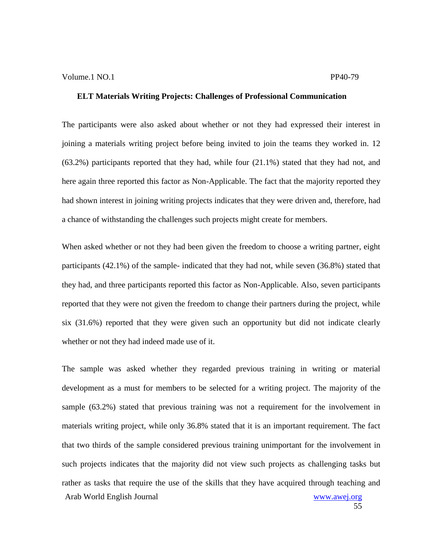The participants were also asked about whether or not they had expressed their interest in joining a materials writing project before being invited to join the teams they worked in. 12 (63.2%) participants reported that they had, while four (21.1%) stated that they had not, and here again three reported this factor as Non-Applicable. The fact that the majority reported they had shown interest in joining writing projects indicates that they were driven and, therefore, had a chance of withstanding the challenges such projects might create for members.

When asked whether or not they had been given the freedom to choose a writing partner, eight participants (42.1%) of the sample- indicated that they had not, while seven (36.8%) stated that they had, and three participants reported this factor as Non-Applicable. Also, seven participants reported that they were not given the freedom to change their partners during the project, while six (31.6%) reported that they were given such an opportunity but did not indicate clearly whether or not they had indeed made use of it.

Arab World English Journal www.awej.org The sample was asked whether they regarded previous training in writing or material development as a must for members to be selected for a writing project. The majority of the sample (63.2%) stated that previous training was not a requirement for the involvement in materials writing project, while only 36.8% stated that it is an important requirement. The fact that two thirds of the sample considered previous training unimportant for the involvement in such projects indicates that the majority did not view such projects as challenging tasks but rather as tasks that require the use of the skills that they have acquired through teaching and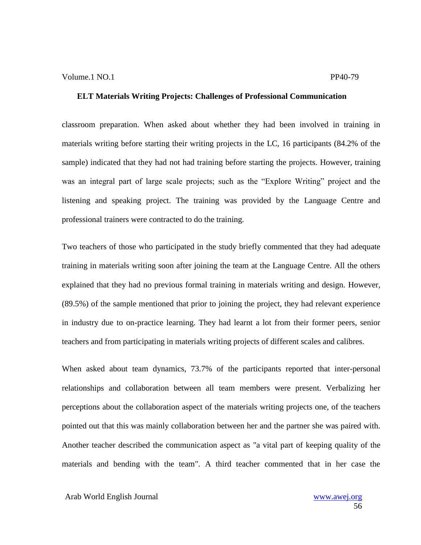classroom preparation. When asked about whether they had been involved in training in materials writing before starting their writing projects in the LC, 16 participants (84.2% of the sample) indicated that they had not had training before starting the projects. However, training was an integral part of large scale projects; such as the "Explore Writing" project and the listening and speaking project. The training was provided by the Language Centre and professional trainers were contracted to do the training.

Two teachers of those who participated in the study briefly commented that they had adequate training in materials writing soon after joining the team at the Language Centre. All the others explained that they had no previous formal training in materials writing and design. However, (89.5%) of the sample mentioned that prior to joining the project, they had relevant experience in industry due to on-practice learning. They had learnt a lot from their former peers, senior teachers and from participating in materials writing projects of different scales and calibres.

When asked about team dynamics, 73.7% of the participants reported that inter-personal relationships and collaboration between all team members were present. Verbalizing her perceptions about the collaboration aspect of the materials writing projects one, of the teachers pointed out that this was mainly collaboration between her and the partner she was paired with. Another teacher described the communication aspect as "a vital part of keeping quality of the materials and bending with the team". A third teacher commented that in her case the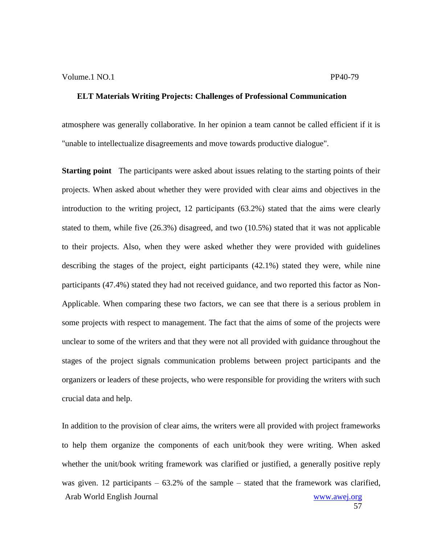atmosphere was generally collaborative. In her opinion a team cannot be called efficient if it is "unable to intellectualize disagreements and move towards productive dialogue".

**Starting point** The participants were asked about issues relating to the starting points of their projects. When asked about whether they were provided with clear aims and objectives in the introduction to the writing project, 12 participants (63.2%) stated that the aims were clearly stated to them, while five (26.3%) disagreed, and two (10.5%) stated that it was not applicable to their projects. Also, when they were asked whether they were provided with guidelines describing the stages of the project, eight participants (42.1%) stated they were, while nine participants (47.4%) stated they had not received guidance, and two reported this factor as Non-Applicable. When comparing these two factors, we can see that there is a serious problem in some projects with respect to management. The fact that the aims of some of the projects were unclear to some of the writers and that they were not all provided with guidance throughout the stages of the project signals communication problems between project participants and the organizers or leaders of these projects, who were responsible for providing the writers with such crucial data and help.

Arab World English Journal www.awej.org In addition to the provision of clear aims, the writers were all provided with project frameworks to help them organize the components of each unit/book they were writing. When asked whether the unit/book writing framework was clarified or justified, a generally positive reply was given. 12 participants  $-63.2\%$  of the sample  $-$  stated that the framework was clarified,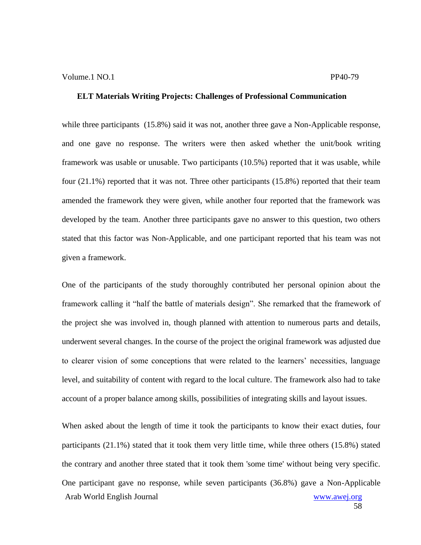while three participants (15.8%) said it was not, another three gave a Non-Applicable response, and one gave no response. The writers were then asked whether the unit/book writing framework was usable or unusable. Two participants (10.5%) reported that it was usable, while four (21.1%) reported that it was not. Three other participants (15.8%) reported that their team amended the framework they were given, while another four reported that the framework was developed by the team. Another three participants gave no answer to this question, two others stated that this factor was Non-Applicable, and one participant reported that his team was not given a framework.

One of the participants of the study thoroughly contributed her personal opinion about the framework calling it "half the battle of materials design". She remarked that the framework of the project she was involved in, though planned with attention to numerous parts and details, underwent several changes. In the course of the project the original framework was adjusted due to clearer vision of some conceptions that were related to the learners" necessities, language level, and suitability of content with regard to the local culture. The framework also had to take account of a proper balance among skills, possibilities of integrating skills and layout issues.

Arab World English Journal www.awej.org When asked about the length of time it took the participants to know their exact duties, four participants (21.1%) stated that it took them very little time, while three others (15.8%) stated the contrary and another three stated that it took them 'some time' without being very specific. One participant gave no response, while seven participants (36.8%) gave a Non-Applicable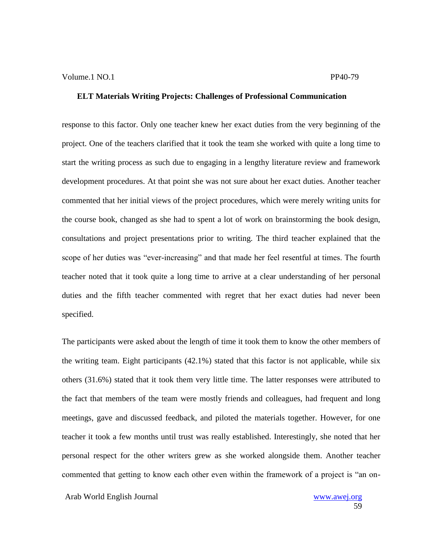response to this factor. Only one teacher knew her exact duties from the very beginning of the project. One of the teachers clarified that it took the team she worked with quite a long time to start the writing process as such due to engaging in a lengthy literature review and framework development procedures. At that point she was not sure about her exact duties. Another teacher commented that her initial views of the project procedures, which were merely writing units for the course book, changed as she had to spent a lot of work on brainstorming the book design, consultations and project presentations prior to writing. The third teacher explained that the scope of her duties was "ever-increasing" and that made her feel resentful at times. The fourth teacher noted that it took quite a long time to arrive at a clear understanding of her personal duties and the fifth teacher commented with regret that her exact duties had never been specified.

The participants were asked about the length of time it took them to know the other members of the writing team. Eight participants (42.1%) stated that this factor is not applicable, while six others (31.6%) stated that it took them very little time. The latter responses were attributed to the fact that members of the team were mostly friends and colleagues, had frequent and long meetings, gave and discussed feedback, and piloted the materials together. However, for one teacher it took a few months until trust was really established. Interestingly, she noted that her personal respect for the other writers grew as she worked alongside them. Another teacher commented that getting to know each other even within the framework of a project is "an on-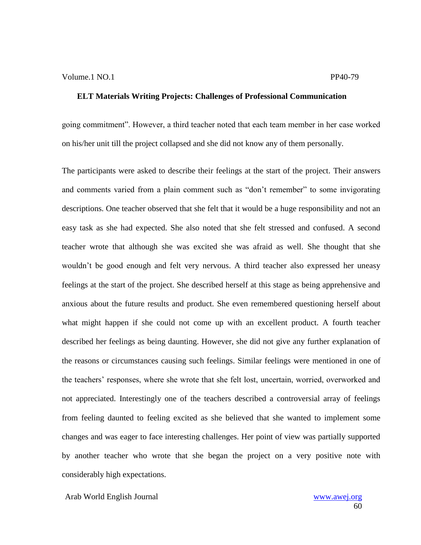going commitment". However, a third teacher noted that each team member in her case worked on his/her unit till the project collapsed and she did not know any of them personally.

The participants were asked to describe their feelings at the start of the project. Their answers and comments varied from a plain comment such as "don"t remember" to some invigorating descriptions. One teacher observed that she felt that it would be a huge responsibility and not an easy task as she had expected. She also noted that she felt stressed and confused. A second teacher wrote that although she was excited she was afraid as well. She thought that she wouldn"t be good enough and felt very nervous. A third teacher also expressed her uneasy feelings at the start of the project. She described herself at this stage as being apprehensive and anxious about the future results and product. She even remembered questioning herself about what might happen if she could not come up with an excellent product. A fourth teacher described her feelings as being daunting. However, she did not give any further explanation of the reasons or circumstances causing such feelings. Similar feelings were mentioned in one of the teachers" responses, where she wrote that she felt lost, uncertain, worried, overworked and not appreciated. Interestingly one of the teachers described a controversial array of feelings from feeling daunted to feeling excited as she believed that she wanted to implement some changes and was eager to face interesting challenges. Her point of view was partially supported by another teacher who wrote that she began the project on a very positive note with considerably high expectations.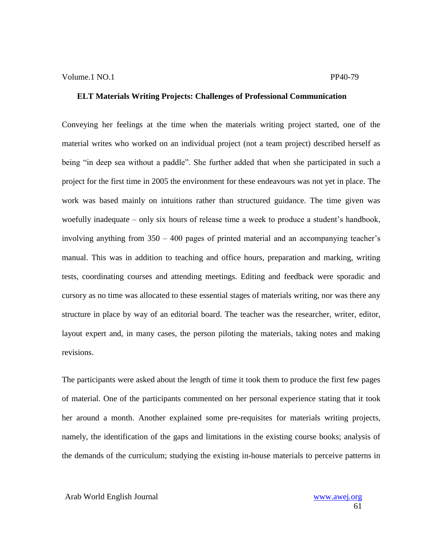Conveying her feelings at the time when the materials writing project started, one of the material writes who worked on an individual project (not a team project) described herself as being "in deep sea without a paddle". She further added that when she participated in such a project for the first time in 2005 the environment for these endeavours was not yet in place. The work was based mainly on intuitions rather than structured guidance. The time given was woefully inadequate – only six hours of release time a week to produce a student's handbook, involving anything from 350 – 400 pages of printed material and an accompanying teacher"s manual. This was in addition to teaching and office hours, preparation and marking, writing tests, coordinating courses and attending meetings. Editing and feedback were sporadic and cursory as no time was allocated to these essential stages of materials writing, nor was there any structure in place by way of an editorial board. The teacher was the researcher, writer, editor, layout expert and, in many cases, the person piloting the materials, taking notes and making revisions.

The participants were asked about the length of time it took them to produce the first few pages of material. One of the participants commented on her personal experience stating that it took her around a month. Another explained some pre-requisites for materials writing projects, namely, the identification of the gaps and limitations in the existing course books; analysis of the demands of the curriculum; studying the existing in-house materials to perceive patterns in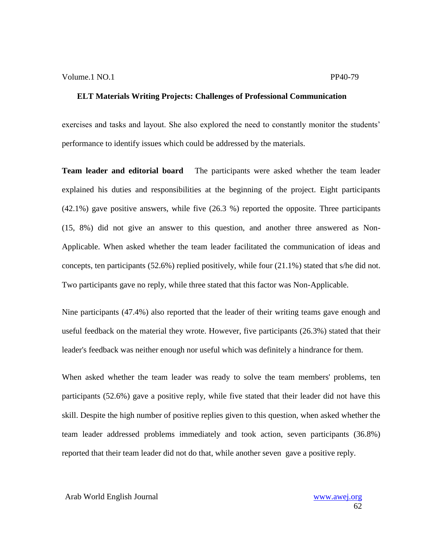exercises and tasks and layout. She also explored the need to constantly monitor the students' performance to identify issues which could be addressed by the materials.

**Team leader and editorial board** The participants were asked whether the team leader explained his duties and responsibilities at the beginning of the project. Eight participants (42.1%) gave positive answers, while five (26.3 %) reported the opposite. Three participants (15, 8%) did not give an answer to this question, and another three answered as Non-Applicable. When asked whether the team leader facilitated the communication of ideas and concepts, ten participants (52.6%) replied positively, while four (21.1%) stated that s/he did not. Two participants gave no reply, while three stated that this factor was Non-Applicable.

Nine participants (47.4%) also reported that the leader of their writing teams gave enough and useful feedback on the material they wrote. However, five participants (26.3%) stated that their leader's feedback was neither enough nor useful which was definitely a hindrance for them.

When asked whether the team leader was ready to solve the team members' problems, ten participants (52.6%) gave a positive reply, while five stated that their leader did not have this skill. Despite the high number of positive replies given to this question, when asked whether the team leader addressed problems immediately and took action, seven participants (36.8%) reported that their team leader did not do that, while another seven gave a positive reply.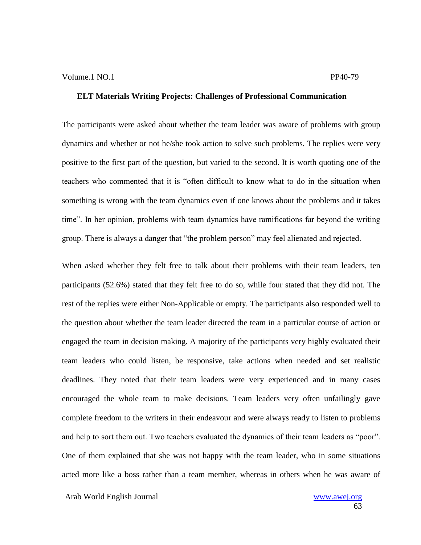The participants were asked about whether the team leader was aware of problems with group dynamics and whether or not he/she took action to solve such problems. The replies were very positive to the first part of the question, but varied to the second. It is worth quoting one of the teachers who commented that it is "often difficult to know what to do in the situation when something is wrong with the team dynamics even if one knows about the problems and it takes time". In her opinion, problems with team dynamics have ramifications far beyond the writing group. There is always a danger that "the problem person" may feel alienated and rejected.

When asked whether they felt free to talk about their problems with their team leaders, ten participants (52.6%) stated that they felt free to do so, while four stated that they did not. The rest of the replies were either Non-Applicable or empty. The participants also responded well to the question about whether the team leader directed the team in a particular course of action or engaged the team in decision making. A majority of the participants very highly evaluated their team leaders who could listen, be responsive, take actions when needed and set realistic deadlines. They noted that their team leaders were very experienced and in many cases encouraged the whole team to make decisions. Team leaders very often unfailingly gave complete freedom to the writers in their endeavour and were always ready to listen to problems and help to sort them out. Two teachers evaluated the dynamics of their team leaders as "poor". One of them explained that she was not happy with the team leader, who in some situations acted more like a boss rather than a team member, whereas in others when he was aware of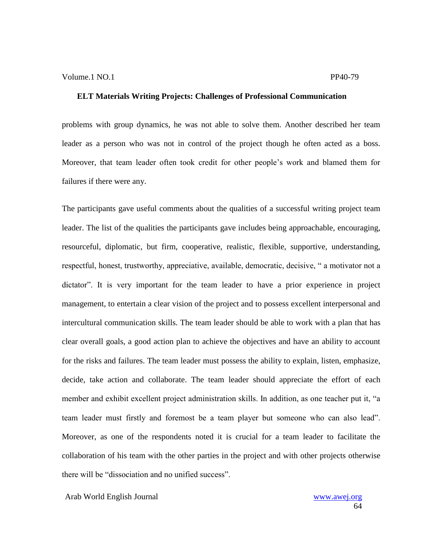problems with group dynamics, he was not able to solve them. Another described her team leader as a person who was not in control of the project though he often acted as a boss. Moreover, that team leader often took credit for other people"s work and blamed them for failures if there were any.

The participants gave useful comments about the qualities of a successful writing project team leader. The list of the qualities the participants gave includes being approachable, encouraging, resourceful, diplomatic, but firm, cooperative, realistic, flexible, supportive, understanding, respectful, honest, trustworthy, appreciative, available, democratic, decisive, " a motivator not a dictator". It is very important for the team leader to have a prior experience in project management, to entertain a clear vision of the project and to possess excellent interpersonal and intercultural communication skills. The team leader should be able to work with a plan that has clear overall goals, a good action plan to achieve the objectives and have an ability to account for the risks and failures. The team leader must possess the ability to explain, listen, emphasize, decide, take action and collaborate. The team leader should appreciate the effort of each member and exhibit excellent project administration skills. In addition, as one teacher put it, "a team leader must firstly and foremost be a team player but someone who can also lead". Moreover, as one of the respondents noted it is crucial for a team leader to facilitate the collaboration of his team with the other parties in the project and with other projects otherwise there will be "dissociation and no unified success".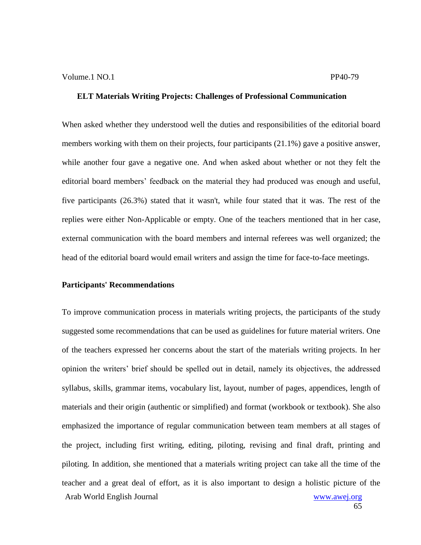When asked whether they understood well the duties and responsibilities of the editorial board members working with them on their projects, four participants (21.1%) gave a positive answer, while another four gave a negative one. And when asked about whether or not they felt the editorial board members' feedback on the material they had produced was enough and useful, five participants (26.3%) stated that it wasn't, while four stated that it was. The rest of the replies were either Non-Applicable or empty. One of the teachers mentioned that in her case, external communication with the board members and internal referees was well organized; the head of the editorial board would email writers and assign the time for face-to-face meetings.

#### **Participants' Recommendations**

Arab World English Journal www.awej.org To improve communication process in materials writing projects, the participants of the study suggested some recommendations that can be used as guidelines for future material writers. One of the teachers expressed her concerns about the start of the materials writing projects. In her opinion the writers" brief should be spelled out in detail, namely its objectives, the addressed syllabus, skills, grammar items, vocabulary list, layout, number of pages, appendices, length of materials and their origin (authentic or simplified) and format (workbook or textbook). She also emphasized the importance of regular communication between team members at all stages of the project, including first writing, editing, piloting, revising and final draft, printing and piloting. In addition, she mentioned that a materials writing project can take all the time of the teacher and a great deal of effort, as it is also important to design a holistic picture of the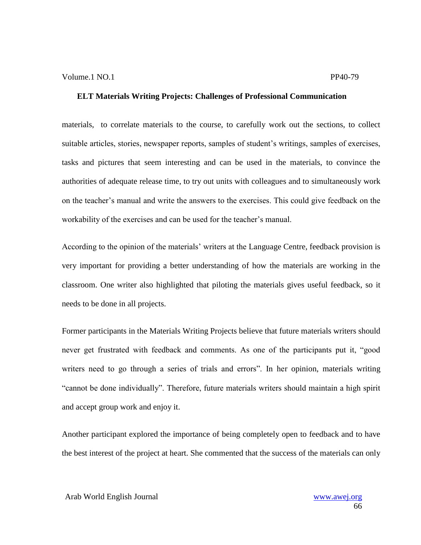materials, to correlate materials to the course, to carefully work out the sections, to collect suitable articles, stories, newspaper reports, samples of student's writings, samples of exercises, tasks and pictures that seem interesting and can be used in the materials, to convince the authorities of adequate release time, to try out units with colleagues and to simultaneously work on the teacher"s manual and write the answers to the exercises. This could give feedback on the workability of the exercises and can be used for the teacher"s manual.

According to the opinion of the materials' writers at the Language Centre, feedback provision is very important for providing a better understanding of how the materials are working in the classroom. One writer also highlighted that piloting the materials gives useful feedback, so it needs to be done in all projects.

Former participants in the Materials Writing Projects believe that future materials writers should never get frustrated with feedback and comments. As one of the participants put it, "good writers need to go through a series of trials and errors". In her opinion, materials writing "cannot be done individually". Therefore, future materials writers should maintain a high spirit and accept group work and enjoy it.

Another participant explored the importance of being completely open to feedback and to have the best interest of the project at heart. She commented that the success of the materials can only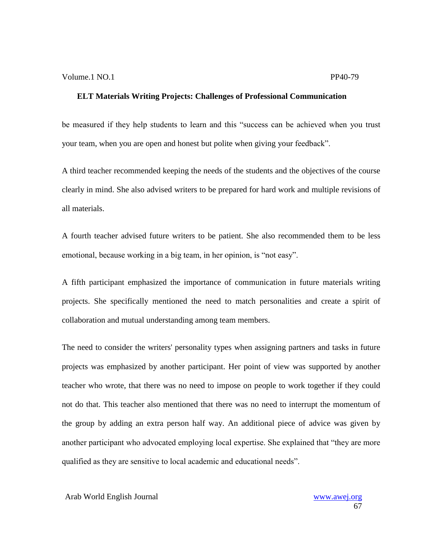be measured if they help students to learn and this "success can be achieved when you trust your team, when you are open and honest but polite when giving your feedback".

A third teacher recommended keeping the needs of the students and the objectives of the course clearly in mind. She also advised writers to be prepared for hard work and multiple revisions of all materials.

A fourth teacher advised future writers to be patient. She also recommended them to be less emotional, because working in a big team, in her opinion, is "not easy".

A fifth participant emphasized the importance of communication in future materials writing projects. She specifically mentioned the need to match personalities and create a spirit of collaboration and mutual understanding among team members.

The need to consider the writers' personality types when assigning partners and tasks in future projects was emphasized by another participant. Her point of view was supported by another teacher who wrote, that there was no need to impose on people to work together if they could not do that. This teacher also mentioned that there was no need to interrupt the momentum of the group by adding an extra person half way. An additional piece of advice was given by another participant who advocated employing local expertise. She explained that "they are more qualified as they are sensitive to local academic and educational needs".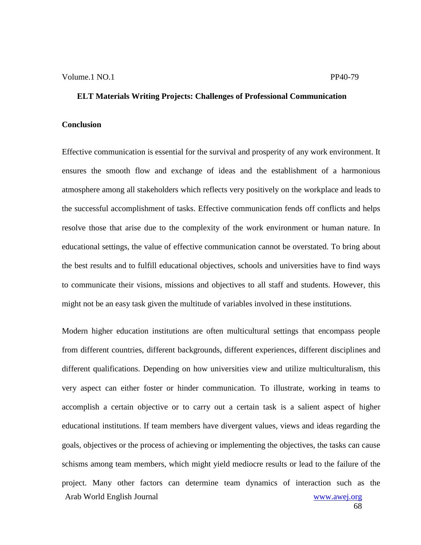#### **Conclusion**

Effective communication is essential for the survival and prosperity of any work environment. It ensures the smooth flow and exchange of ideas and the establishment of a harmonious atmosphere among all stakeholders which reflects very positively on the workplace and leads to the successful accomplishment of tasks. Effective communication fends off conflicts and helps resolve those that arise due to the complexity of the work environment or human nature. In educational settings, the value of effective communication cannot be overstated. To bring about the best results and to fulfill educational objectives, schools and universities have to find ways to communicate their visions, missions and objectives to all staff and students. However, this might not be an easy task given the multitude of variables involved in these institutions.

Arab World English Journal www.awej.org Modern higher education institutions are often multicultural settings that encompass people from different countries, different backgrounds, different experiences, different disciplines and different qualifications. Depending on how universities view and utilize multiculturalism, this very aspect can either foster or hinder communication. To illustrate, working in teams to accomplish a certain objective or to carry out a certain task is a salient aspect of higher educational institutions. If team members have divergent values, views and ideas regarding the goals, objectives or the process of achieving or implementing the objectives, the tasks can cause schisms among team members, which might yield mediocre results or lead to the failure of the project. Many other factors can determine team dynamics of interaction such as the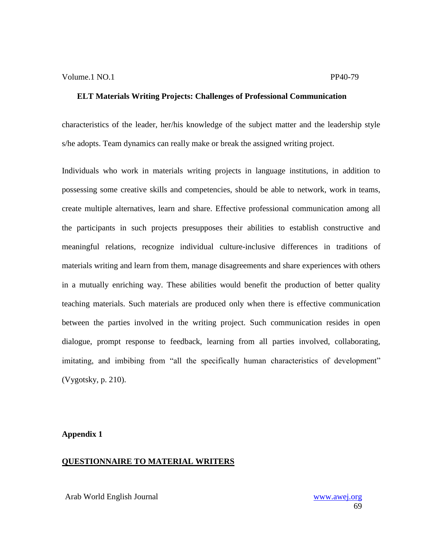characteristics of the leader, her/his knowledge of the subject matter and the leadership style s/he adopts. Team dynamics can really make or break the assigned writing project.

Individuals who work in materials writing projects in language institutions, in addition to possessing some creative skills and competencies, should be able to network, work in teams, create multiple alternatives, learn and share. Effective professional communication among all the participants in such projects presupposes their abilities to establish constructive and meaningful relations, recognize individual culture-inclusive differences in traditions of materials writing and learn from them, manage disagreements and share experiences with others in a mutually enriching way. These abilities would benefit the production of better quality teaching materials. Such materials are produced only when there is effective communication between the parties involved in the writing project. Such communication resides in open dialogue, prompt response to feedback, learning from all parties involved, collaborating, imitating, and imbibing from "all the specifically human characteristics of development" (Vygotsky, p. 210).

#### **Appendix 1**

#### **QUESTIONNAIRE TO MATERIAL WRITERS**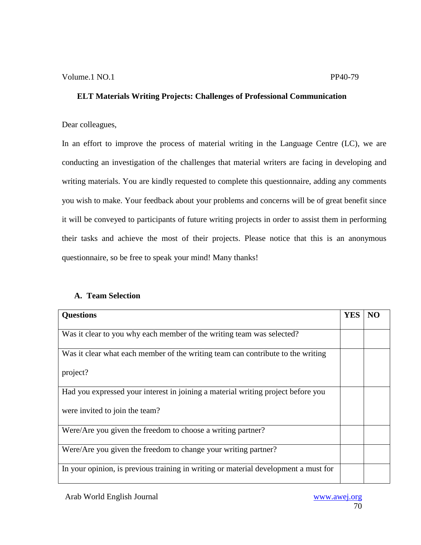### Dear colleagues,

In an effort to improve the process of material writing in the Language Centre (LC), we are conducting an investigation of the challenges that material writers are facing in developing and writing materials. You are kindly requested to complete this questionnaire, adding any comments you wish to make. Your feedback about your problems and concerns will be of great benefit since it will be conveyed to participants of future writing projects in order to assist them in performing their tasks and achieve the most of their projects. Please notice that this is an anonymous questionnaire, so be free to speak your mind! Many thanks!

### **A. Team Selection**

| <b>Questions</b>                                                                    | <b>YES</b> |  |
|-------------------------------------------------------------------------------------|------------|--|
| Was it clear to you why each member of the writing team was selected?               |            |  |
| Was it clear what each member of the writing team can contribute to the writing     |            |  |
| project?                                                                            |            |  |
| Had you expressed your interest in joining a material writing project before you    |            |  |
| were invited to join the team?                                                      |            |  |
| Were/Are you given the freedom to choose a writing partner?                         |            |  |
| Were/Are you given the freedom to change your writing partner?                      |            |  |
| In your opinion, is previous training in writing or material development a must for |            |  |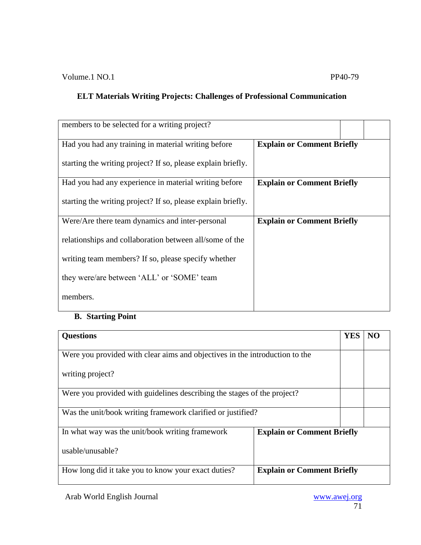| members to be selected for a writing project?                |                                   |
|--------------------------------------------------------------|-----------------------------------|
| Had you had any training in material writing before          | <b>Explain or Comment Briefly</b> |
| starting the writing project? If so, please explain briefly. |                                   |
| Had you had any experience in material writing before        | <b>Explain or Comment Briefly</b> |
| starting the writing project? If so, please explain briefly. |                                   |
| Were/Are there team dynamics and inter-personal              | <b>Explain or Comment Briefly</b> |
| relationships and collaboration between all/some of the      |                                   |
| writing team members? If so, please specify whether          |                                   |
| they were/are between 'ALL' or 'SOME' team                   |                                   |
| members.                                                     |                                   |

# **B. Starting Point**

| <b>Questions</b>                                                            |                                   | <b>YES</b> | N <sub>O</sub> |
|-----------------------------------------------------------------------------|-----------------------------------|------------|----------------|
| Were you provided with clear aims and objectives in the introduction to the |                                   |            |                |
| writing project?                                                            |                                   |            |                |
| Were you provided with guidelines describing the stages of the project?     |                                   |            |                |
| Was the unit/book writing framework clarified or justified?                 |                                   |            |                |
| In what way was the unit/book writing framework                             | <b>Explain or Comment Briefly</b> |            |                |
| usable/unusable?                                                            |                                   |            |                |
| How long did it take you to know your exact duties?                         | <b>Explain or Comment Briefly</b> |            |                |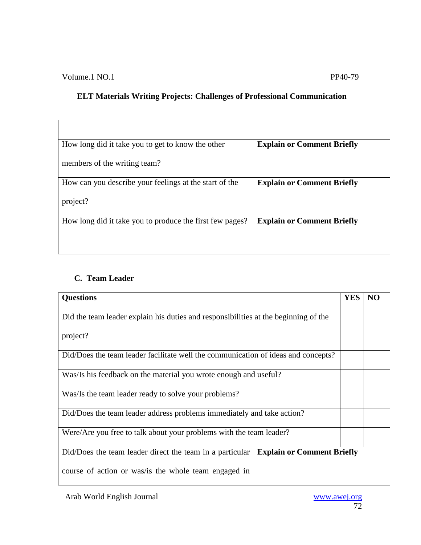| How long did it take you to get to know the other        | <b>Explain or Comment Briefly</b> |
|----------------------------------------------------------|-----------------------------------|
| members of the writing team?                             |                                   |
| How can you describe your feelings at the start of the   | <b>Explain or Comment Briefly</b> |
| project?                                                 |                                   |
| How long did it take you to produce the first few pages? | <b>Explain or Comment Briefly</b> |
|                                                          |                                   |

## **C. Team Leader**

| <b>Questions</b>                                                                              |  | NO |
|-----------------------------------------------------------------------------------------------|--|----|
| Did the team leader explain his duties and responsibilities at the beginning of the           |  |    |
| project?                                                                                      |  |    |
| Did/Does the team leader facilitate well the communication of ideas and concepts?             |  |    |
| Was/Is his feedback on the material you wrote enough and useful?                              |  |    |
| Was/Is the team leader ready to solve your problems?                                          |  |    |
| Did/Does the team leader address problems immediately and take action?                        |  |    |
| Were/Are you free to talk about your problems with the team leader?                           |  |    |
| Did/Does the team leader direct the team in a particular<br><b>Explain or Comment Briefly</b> |  |    |
| course of action or was/is the whole team engaged in                                          |  |    |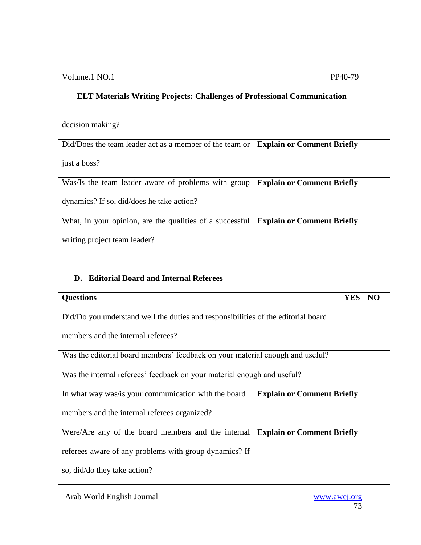| decision making?                                         |                                   |
|----------------------------------------------------------|-----------------------------------|
| Did/Does the team leader act as a member of the team or  | <b>Explain or Comment Briefly</b> |
| just a boss?                                             |                                   |
| Was/Is the team leader aware of problems with group      | <b>Explain or Comment Briefly</b> |
| dynamics? If so, did/does he take action?                |                                   |
| What, in your opinion, are the qualities of a successful | <b>Explain or Comment Briefly</b> |
| writing project team leader?                             |                                   |

## **D. Editorial Board and Internal Referees**

| <b>Questions</b>                                                                  |                                   | <b>YES</b> | NO |
|-----------------------------------------------------------------------------------|-----------------------------------|------------|----|
| Did/Do you understand well the duties and responsibilities of the editorial board |                                   |            |    |
| members and the internal referees?                                                |                                   |            |    |
| Was the editorial board members' feedback on your material enough and useful?     |                                   |            |    |
| Was the internal referees' feedback on your material enough and useful?           |                                   |            |    |
| In what way was/is your communication with the board                              | <b>Explain or Comment Briefly</b> |            |    |
| members and the internal referees organized?                                      |                                   |            |    |
| Were/Are any of the board members and the internal                                | <b>Explain or Comment Briefly</b> |            |    |
| referees aware of any problems with group dynamics? If                            |                                   |            |    |
| so, did/do they take action?                                                      |                                   |            |    |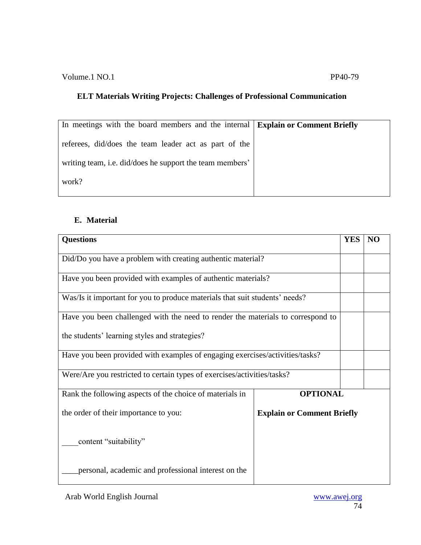| In meetings with the board members and the internal Explain or Comment Briefly |  |
|--------------------------------------------------------------------------------|--|
| referees, did/does the team leader act as part of the                          |  |
| writing team, i.e. did/does he support the team members'                       |  |
| work?                                                                          |  |

## **E. Material**

| <b>Questions</b>                                                                |                                   | <b>YES</b> | N <sub>O</sub> |
|---------------------------------------------------------------------------------|-----------------------------------|------------|----------------|
| Did/Do you have a problem with creating authentic material?                     |                                   |            |                |
| Have you been provided with examples of authentic materials?                    |                                   |            |                |
| Was/Is it important for you to produce materials that suit students' needs?     |                                   |            |                |
| Have you been challenged with the need to render the materials to correspond to |                                   |            |                |
| the students' learning styles and strategies?                                   |                                   |            |                |
| Have you been provided with examples of engaging exercises/activities/tasks?    |                                   |            |                |
| Were/Are you restricted to certain types of exercises/activities/tasks?         |                                   |            |                |
| Rank the following aspects of the choice of materials in                        | <b>OPTIONAL</b>                   |            |                |
| the order of their importance to you:                                           | <b>Explain or Comment Briefly</b> |            |                |
| content "suitability"                                                           |                                   |            |                |
| personal, academic and professional interest on the                             |                                   |            |                |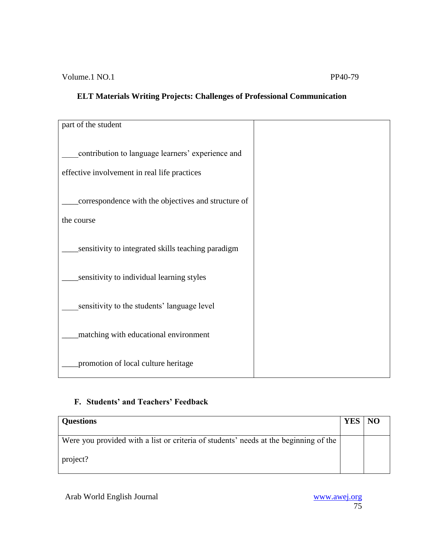| part of the student                                                                               |  |
|---------------------------------------------------------------------------------------------------|--|
| contribution to language learners' experience and<br>effective involvement in real life practices |  |
| correspondence with the objectives and structure of<br>the course                                 |  |
| sensitivity to integrated skills teaching paradigm                                                |  |
| sensitivity to individual learning styles                                                         |  |
| sensitivity to the students' language level                                                       |  |
| matching with educational environment                                                             |  |
| promotion of local culture heritage                                                               |  |

## **F. Students' and Teachers' Feedback**

| <b>Questions</b>                                                                     | <b>YES</b> | <b>NO</b> |
|--------------------------------------------------------------------------------------|------------|-----------|
|                                                                                      |            |           |
| Were you provided with a list or criteria of students' needs at the beginning of the |            |           |
| project?                                                                             |            |           |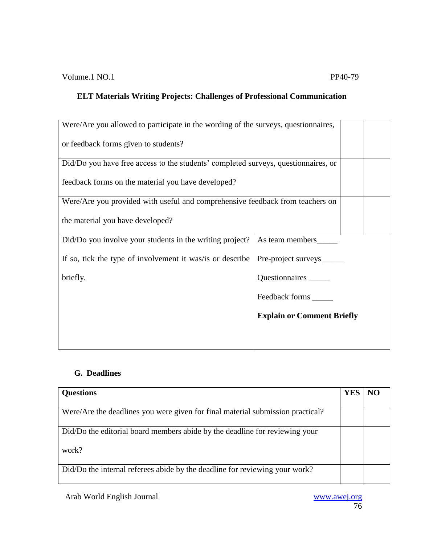| Were/Are you allowed to participate in the wording of the surveys, questionnaires, |                                   |  |
|------------------------------------------------------------------------------------|-----------------------------------|--|
| or feedback forms given to students?                                               |                                   |  |
| Did/Do you have free access to the students' completed surveys, questionnaires, or |                                   |  |
| feedback forms on the material you have developed?                                 |                                   |  |
| Were/Are you provided with useful and comprehensive feedback from teachers on      |                                   |  |
| the material you have developed?                                                   |                                   |  |
| Did/Do you involve your students in the writing project?                           | As team members                   |  |
| If so, tick the type of involvement it was/is or describe                          | Pre-project surveys               |  |
| briefly.                                                                           | Questionnaires                    |  |
|                                                                                    | Feedback forms ______             |  |
|                                                                                    | <b>Explain or Comment Briefly</b> |  |
|                                                                                    |                                   |  |

## **G. Deadlines**

| <b>Questions</b>                                                               |  |
|--------------------------------------------------------------------------------|--|
| Were/Are the deadlines you were given for final material submission practical? |  |
| Did/Do the editorial board members abide by the deadline for reviewing your    |  |
| work?                                                                          |  |
| Did/Do the internal referees abide by the deadline for reviewing your work?    |  |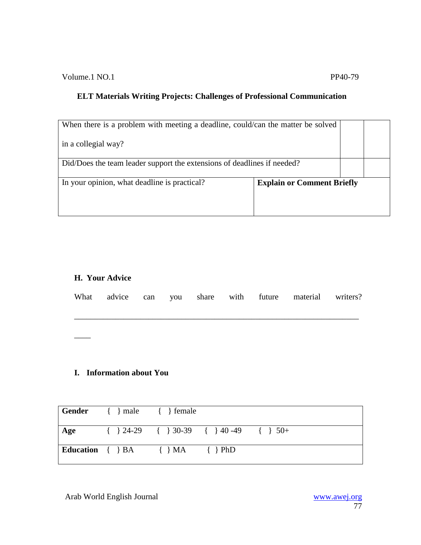Volume.1 NO.1 PP40-79

## **ELT Materials Writing Projects: Challenges of Professional Communication**

| When there is a problem with meeting a deadline, could/can the matter be solved |                                   |  |
|---------------------------------------------------------------------------------|-----------------------------------|--|
| in a collegial way?                                                             |                                   |  |
| Did/Does the team leader support the extensions of deadlines if needed?         |                                   |  |
| In your opinion, what deadline is practical?                                    | <b>Explain or Comment Briefly</b> |  |

## **H. Your Advice**

\_\_\_\_

|  |  |  | What advice can you share with future material writers? |  |
|--|--|--|---------------------------------------------------------|--|
|  |  |  |                                                         |  |

## **I. Information about You**

|     | Gender { } male { } female                         |                                                   |  |
|-----|----------------------------------------------------|---------------------------------------------------|--|
| Age |                                                    | $\{\}$ 24-29 $\{\}$ 30-39 $\{\}$ 40-49 $\{\}$ 50+ |  |
|     | Education $\{\} BA \qquad \{\} MA \qquad \{\} PhD$ |                                                   |  |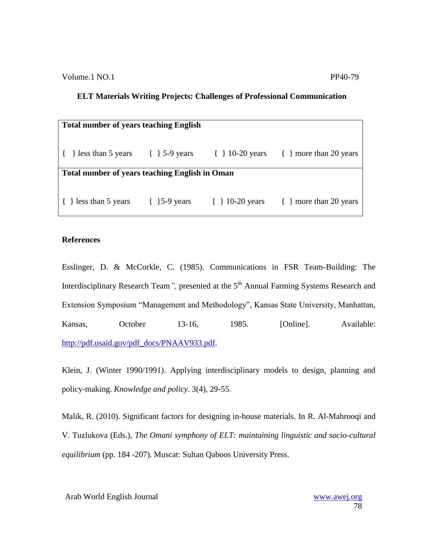| <b>Total number of years teaching English</b>             |  |                             |                            |  |  |
|-----------------------------------------------------------|--|-----------------------------|----------------------------|--|--|
| { } less than 5 years $\{\}$ 5-9 years $\{\}$ 10-20 years |  |                             | $\{ \}$ more than 20 years |  |  |
| <b>Total number of years teaching English in Oman</b>     |  |                             |                            |  |  |
| $\{\}$ less than 5 years $\{\}$ 5-9 years                 |  | $\{ \} 10-20 \text{ years}$ | $\{ \}$ more than 20 years |  |  |

### **References**

Esslinger, D. & McCorkle, C. (1985). Communications in FSR Team-Building: The Interdisciplinary Research Team<sup>7</sup>, presented at the 5<sup>th</sup> Annual Farming Systems Research and Extension Symposium "Management and Methodology", Kansas State University, Manhattan, Kansas, October 13-16, 1985. [Online]. Available: [http://pdf.usaid.gov/pdf\\_docs/PNAAV933.pdf.](http://pdf.usaid.gov/pdf_docs/PNAAV933.pdf)

Klein, J. (Winter 1990/1991). Applying interdisciplinary models to design, planning and policy-making. *Knowledge and policy*. 3(4), 29-55.

Malik, R. (2010). Significant factors for designing in-house materials. In R. Al-Mahrooqi and V. Tuzlukova (Eds.), *The Omani symphony of ELT: maintaining linguistic and socio-cultural equilibrium* (pp. 184 -207). Muscat: Sultan Qaboos University Press.